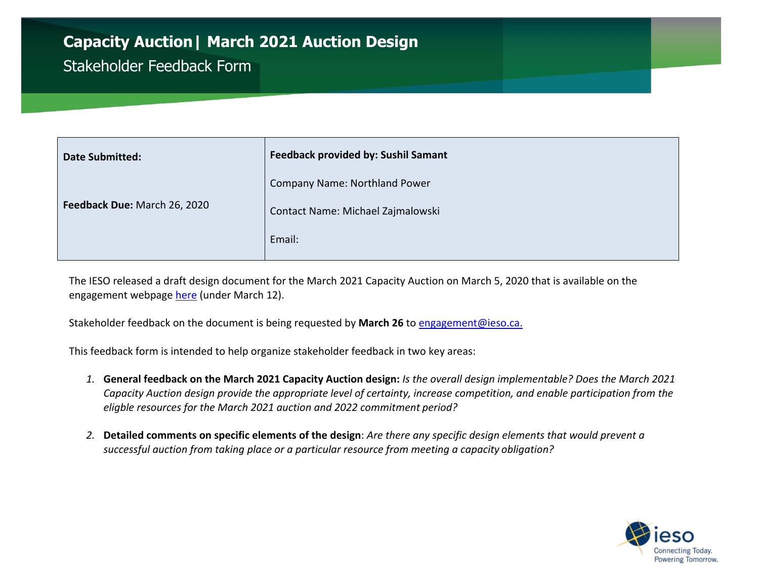## **Capacity Auction| March 2021 Auction Design** Stakeholder Feedback Form

| <b>Date Submitted:</b>       | <b>Feedback provided by: Sushil Samant</b> |
|------------------------------|--------------------------------------------|
|                              | Company Name: Northland Power              |
| Feedback Due: March 26, 2020 | Contact Name: Michael Zajmalowski          |
|                              | Email:                                     |

The IESO released a draft design document for the March 2021 Capacity Auction on March 5, 2020 that is available on the engagement webpage [here](http://www.ieso.ca/en/Sector-Participants/Engagement-Initiatives/Engagements/Capacity-Auction) (under March 12).

Stakeholder feedback on the document is being requested by **March 26** to [engagement@ieso.ca.](mailto:engagement@ieso.ca)

This feedback form is intended to help organize stakeholder feedback in two key areas:

- *1.* **General feedback on the March 2021 Capacity Auction design:** *Is the overall design implementable? Does the March 2021 Capacity Auction design provide the appropriate level of certainty, increase competition, and enable participation from the eligble resources for the March 2021 auction and 2022 commitment period?*
- *2.* **Detailed comments on specific elements of the design**: *Are there any specific design elements that would prevent a successful auction from taking place or a particular resource from meeting a capacity obligation?*

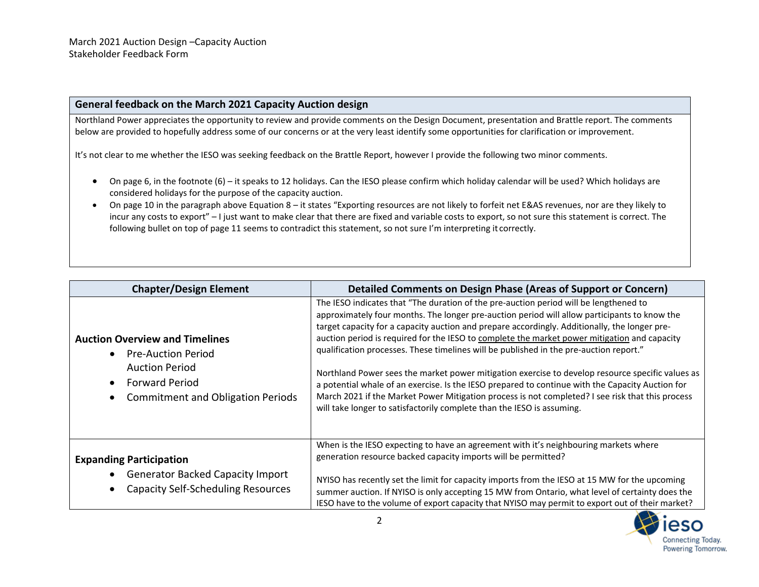## **General feedback on the March 2021 Capacity Auction design**

Northland Power appreciates the opportunity to review and provide comments on the Design Document, presentation and Brattle report. The comments below are provided to hopefully address some of our concerns or at the very least identify some opportunities for clarification or improvement.

It's not clear to me whether the IESO was seeking feedback on the Brattle Report, however I provide the following two minor comments.

- On page 6, in the footnote (6) it speaks to 12 holidays. Can the IESO please confirm which holiday calendar will be used? Which holidays are considered holidays for the purpose of the capacity auction.
- On page 10 in the paragraph above Equation 8 it states "Exporting resources are not likely to forfeit net E&AS revenues, nor are they likely to incur any costs to export" – I just want to make clear that there are fixed and variable costs to export, so not sure this statement is correct. The following bullet on top of page 11 seems to contradict this statement, so not sure I'm interpreting it correctly.

| <b>Chapter/Design Element</b>                                                                                                                          | Detailed Comments on Design Phase (Areas of Support or Concern)                                                                                                                                                                                                                                                                                                                                                                                                                                                                                                                                                                                                                                                                                                                                                                                                        |
|--------------------------------------------------------------------------------------------------------------------------------------------------------|------------------------------------------------------------------------------------------------------------------------------------------------------------------------------------------------------------------------------------------------------------------------------------------------------------------------------------------------------------------------------------------------------------------------------------------------------------------------------------------------------------------------------------------------------------------------------------------------------------------------------------------------------------------------------------------------------------------------------------------------------------------------------------------------------------------------------------------------------------------------|
| <b>Auction Overview and Timelines</b><br>• Pre-Auction Period<br><b>Auction Period</b><br>• Forward Period<br><b>Commitment and Obligation Periods</b> | The IESO indicates that "The duration of the pre-auction period will be lengthened to<br>approximately four months. The longer pre-auction period will allow participants to know the<br>target capacity for a capacity auction and prepare accordingly. Additionally, the longer pre-<br>auction period is required for the IESO to complete the market power mitigation and capacity<br>qualification processes. These timelines will be published in the pre-auction report."<br>Northland Power sees the market power mitigation exercise to develop resource specific values as<br>a potential whale of an exercise. Is the IESO prepared to continue with the Capacity Auction for<br>March 2021 if the Market Power Mitigation process is not completed? I see risk that this process<br>will take longer to satisfactorily complete than the IESO is assuming. |
| <b>Expanding Participation</b><br><b>Generator Backed Capacity Import</b><br><b>Capacity Self-Scheduling Resources</b>                                 | When is the IESO expecting to have an agreement with it's neighbouring markets where<br>generation resource backed capacity imports will be permitted?<br>NYISO has recently set the limit for capacity imports from the IESO at 15 MW for the upcoming<br>summer auction. If NYISO is only accepting 15 MW from Ontario, what level of certainty does the<br>IESO have to the volume of export capacity that NYISO may permit to export out of their market?                                                                                                                                                                                                                                                                                                                                                                                                          |

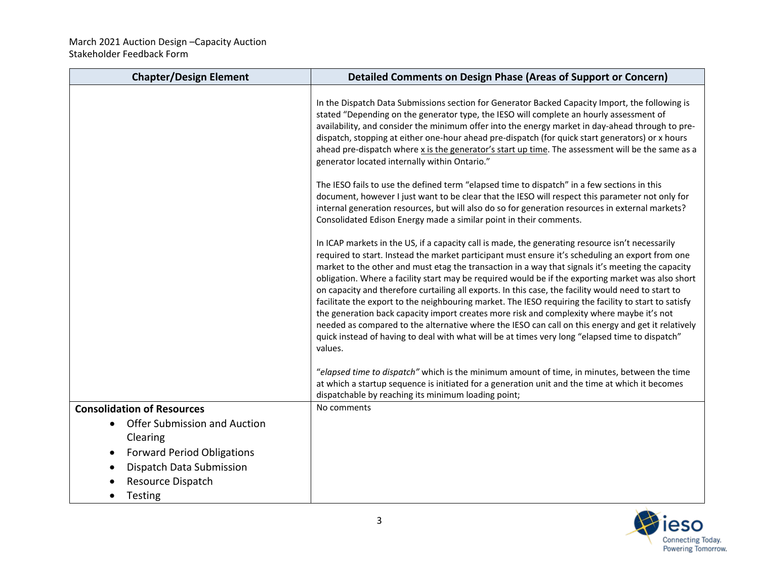| <b>Chapter/Design Element</b>                                | Detailed Comments on Design Phase (Areas of Support or Concern)                                                                                                                                                                                                                                                                                                                                                                                                                                                                                                                                                                                                                                                                                                                                                                                                                                                                                  |
|--------------------------------------------------------------|--------------------------------------------------------------------------------------------------------------------------------------------------------------------------------------------------------------------------------------------------------------------------------------------------------------------------------------------------------------------------------------------------------------------------------------------------------------------------------------------------------------------------------------------------------------------------------------------------------------------------------------------------------------------------------------------------------------------------------------------------------------------------------------------------------------------------------------------------------------------------------------------------------------------------------------------------|
|                                                              | In the Dispatch Data Submissions section for Generator Backed Capacity Import, the following is<br>stated "Depending on the generator type, the IESO will complete an hourly assessment of<br>availability, and consider the minimum offer into the energy market in day-ahead through to pre-<br>dispatch, stopping at either one-hour ahead pre-dispatch (for quick start generators) or x hours<br>ahead pre-dispatch where x is the generator's start up time. The assessment will be the same as a<br>generator located internally within Ontario."                                                                                                                                                                                                                                                                                                                                                                                         |
|                                                              | The IESO fails to use the defined term "elapsed time to dispatch" in a few sections in this<br>document, however I just want to be clear that the IESO will respect this parameter not only for<br>internal generation resources, but will also do so for generation resources in external markets?<br>Consolidated Edison Energy made a similar point in their comments.                                                                                                                                                                                                                                                                                                                                                                                                                                                                                                                                                                        |
|                                                              | In ICAP markets in the US, if a capacity call is made, the generating resource isn't necessarily<br>required to start. Instead the market participant must ensure it's scheduling an export from one<br>market to the other and must etag the transaction in a way that signals it's meeting the capacity<br>obligation. Where a facility start may be required would be if the exporting market was also short<br>on capacity and therefore curtailing all exports. In this case, the facility would need to start to<br>facilitate the export to the neighbouring market. The IESO requiring the facility to start to satisfy<br>the generation back capacity import creates more risk and complexity where maybe it's not<br>needed as compared to the alternative where the IESO can call on this energy and get it relatively<br>quick instead of having to deal with what will be at times very long "elapsed time to dispatch"<br>values. |
|                                                              | "elapsed time to dispatch" which is the minimum amount of time, in minutes, between the time<br>at which a startup sequence is initiated for a generation unit and the time at which it becomes<br>dispatchable by reaching its minimum loading point;                                                                                                                                                                                                                                                                                                                                                                                                                                                                                                                                                                                                                                                                                           |
| <b>Consolidation of Resources</b>                            | No comments                                                                                                                                                                                                                                                                                                                                                                                                                                                                                                                                                                                                                                                                                                                                                                                                                                                                                                                                      |
| <b>Offer Submission and Auction</b><br>$\bullet$<br>Clearing |                                                                                                                                                                                                                                                                                                                                                                                                                                                                                                                                                                                                                                                                                                                                                                                                                                                                                                                                                  |
| <b>Forward Period Obligations</b>                            |                                                                                                                                                                                                                                                                                                                                                                                                                                                                                                                                                                                                                                                                                                                                                                                                                                                                                                                                                  |
| Dispatch Data Submission                                     |                                                                                                                                                                                                                                                                                                                                                                                                                                                                                                                                                                                                                                                                                                                                                                                                                                                                                                                                                  |
| Resource Dispatch                                            |                                                                                                                                                                                                                                                                                                                                                                                                                                                                                                                                                                                                                                                                                                                                                                                                                                                                                                                                                  |
| <b>Testing</b>                                               |                                                                                                                                                                                                                                                                                                                                                                                                                                                                                                                                                                                                                                                                                                                                                                                                                                                                                                                                                  |

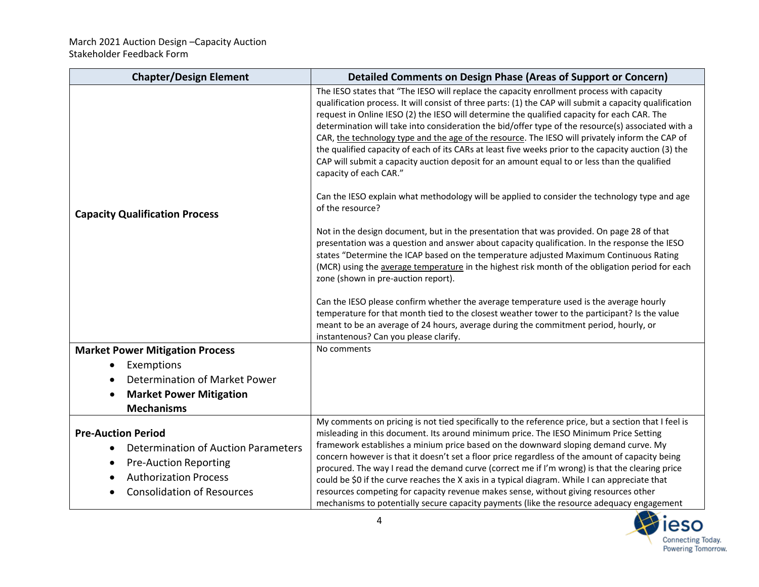| <b>Chapter/Design Element</b>                                                                                                                                                      | <b>Detailed Comments on Design Phase (Areas of Support or Concern)</b>                                                                                                                                                                                                                                                                                                                                                                                                                                                                                                                                                                                                                                                                                                           |
|------------------------------------------------------------------------------------------------------------------------------------------------------------------------------------|----------------------------------------------------------------------------------------------------------------------------------------------------------------------------------------------------------------------------------------------------------------------------------------------------------------------------------------------------------------------------------------------------------------------------------------------------------------------------------------------------------------------------------------------------------------------------------------------------------------------------------------------------------------------------------------------------------------------------------------------------------------------------------|
| <b>Capacity Qualification Process</b>                                                                                                                                              | The IESO states that "The IESO will replace the capacity enrollment process with capacity<br>qualification process. It will consist of three parts: (1) the CAP will submit a capacity qualification<br>request in Online IESO (2) the IESO will determine the qualified capacity for each CAR. The<br>determination will take into consideration the bid/offer type of the resource(s) associated with a<br>CAR, the technology type and the age of the resource. The IESO will privately inform the CAP of<br>the qualified capacity of each of its CARs at least five weeks prior to the capacity auction (3) the<br>CAP will submit a capacity auction deposit for an amount equal to or less than the qualified<br>capacity of each CAR."                                   |
|                                                                                                                                                                                    | Can the IESO explain what methodology will be applied to consider the technology type and age<br>of the resource?                                                                                                                                                                                                                                                                                                                                                                                                                                                                                                                                                                                                                                                                |
|                                                                                                                                                                                    | Not in the design document, but in the presentation that was provided. On page 28 of that<br>presentation was a question and answer about capacity qualification. In the response the IESO<br>states "Determine the ICAP based on the temperature adjusted Maximum Continuous Rating<br>(MCR) using the average temperature in the highest risk month of the obligation period for each<br>zone (shown in pre-auction report).                                                                                                                                                                                                                                                                                                                                                   |
|                                                                                                                                                                                    | Can the IESO please confirm whether the average temperature used is the average hourly<br>temperature for that month tied to the closest weather tower to the participant? Is the value<br>meant to be an average of 24 hours, average during the commitment period, hourly, or<br>instantenous? Can you please clarify.                                                                                                                                                                                                                                                                                                                                                                                                                                                         |
| <b>Market Power Mitigation Process</b>                                                                                                                                             | No comments                                                                                                                                                                                                                                                                                                                                                                                                                                                                                                                                                                                                                                                                                                                                                                      |
| Exemptions                                                                                                                                                                         |                                                                                                                                                                                                                                                                                                                                                                                                                                                                                                                                                                                                                                                                                                                                                                                  |
| Determination of Market Power                                                                                                                                                      |                                                                                                                                                                                                                                                                                                                                                                                                                                                                                                                                                                                                                                                                                                                                                                                  |
| <b>Market Power Mitigation</b>                                                                                                                                                     |                                                                                                                                                                                                                                                                                                                                                                                                                                                                                                                                                                                                                                                                                                                                                                                  |
| <b>Mechanisms</b>                                                                                                                                                                  |                                                                                                                                                                                                                                                                                                                                                                                                                                                                                                                                                                                                                                                                                                                                                                                  |
| <b>Pre-Auction Period</b><br>Determination of Auction Parameters<br>$\bullet$<br><b>Pre-Auction Reporting</b><br><b>Authorization Process</b><br><b>Consolidation of Resources</b> | My comments on pricing is not tied specifically to the reference price, but a section that I feel is<br>misleading in this document. Its around minimum price. The IESO Minimum Price Setting<br>framework establishes a minium price based on the downward sloping demand curve. My<br>concern however is that it doesn't set a floor price regardless of the amount of capacity being<br>procured. The way I read the demand curve (correct me if I'm wrong) is that the clearing price<br>could be \$0 if the curve reaches the X axis in a typical diagram. While I can appreciate that<br>resources competing for capacity revenue makes sense, without giving resources other<br>mechanisms to potentially secure capacity payments (like the resource adequacy engagement |

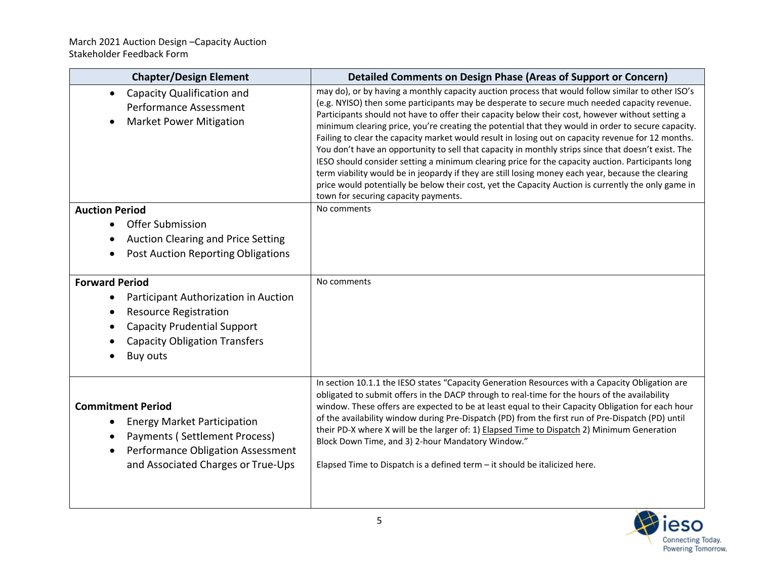| <b>Chapter/Design Element</b>                                                                                                                                                                               | <b>Detailed Comments on Design Phase (Areas of Support or Concern)</b>                                                                                                                                                                                                                                                                                                                                                                                                                                                                                                                                                                                                                                                                                                                                                                                                                                                                                                             |
|-------------------------------------------------------------------------------------------------------------------------------------------------------------------------------------------------------------|------------------------------------------------------------------------------------------------------------------------------------------------------------------------------------------------------------------------------------------------------------------------------------------------------------------------------------------------------------------------------------------------------------------------------------------------------------------------------------------------------------------------------------------------------------------------------------------------------------------------------------------------------------------------------------------------------------------------------------------------------------------------------------------------------------------------------------------------------------------------------------------------------------------------------------------------------------------------------------|
| Capacity Qualification and<br>$\bullet$<br>Performance Assessment<br><b>Market Power Mitigation</b>                                                                                                         | may do), or by having a monthly capacity auction process that would follow similar to other ISO's<br>(e.g. NYISO) then some participants may be desperate to secure much needed capacity revenue.<br>Participants should not have to offer their capacity below their cost, however without setting a<br>minimum clearing price, you're creating the potential that they would in order to secure capacity.<br>Failing to clear the capacity market would result in losing out on capacity revenue for 12 months.<br>You don't have an opportunity to sell that capacity in monthly strips since that doesn't exist. The<br>IESO should consider setting a minimum clearing price for the capacity auction. Participants long<br>term viability would be in jeopardy if they are still losing money each year, because the clearing<br>price would potentially be below their cost, yet the Capacity Auction is currently the only game in<br>town for securing capacity payments. |
| <b>Auction Period</b>                                                                                                                                                                                       | No comments                                                                                                                                                                                                                                                                                                                                                                                                                                                                                                                                                                                                                                                                                                                                                                                                                                                                                                                                                                        |
| <b>Offer Submission</b><br><b>Auction Clearing and Price Setting</b><br><b>Post Auction Reporting Obligations</b>                                                                                           |                                                                                                                                                                                                                                                                                                                                                                                                                                                                                                                                                                                                                                                                                                                                                                                                                                                                                                                                                                                    |
| <b>Forward Period</b><br>Participant Authorization in Auction<br>$\bullet$<br><b>Resource Registration</b><br><b>Capacity Prudential Support</b><br><b>Capacity Obligation Transfers</b><br><b>Buy outs</b> | No comments                                                                                                                                                                                                                                                                                                                                                                                                                                                                                                                                                                                                                                                                                                                                                                                                                                                                                                                                                                        |
| <b>Commitment Period</b><br><b>Energy Market Participation</b><br>Payments (Settlement Process)<br>Performance Obligation Assessment<br>and Associated Charges or True-Ups                                  | In section 10.1.1 the IESO states "Capacity Generation Resources with a Capacity Obligation are<br>obligated to submit offers in the DACP through to real-time for the hours of the availability<br>window. These offers are expected to be at least equal to their Capacity Obligation for each hour<br>of the availability window during Pre-Dispatch (PD) from the first run of Pre-Dispatch (PD) until<br>their PD-X where X will be the larger of: 1) Elapsed Time to Dispatch 2) Minimum Generation<br>Block Down Time, and 3) 2-hour Mandatory Window."<br>Elapsed Time to Dispatch is a defined term - it should be italicized here.                                                                                                                                                                                                                                                                                                                                       |